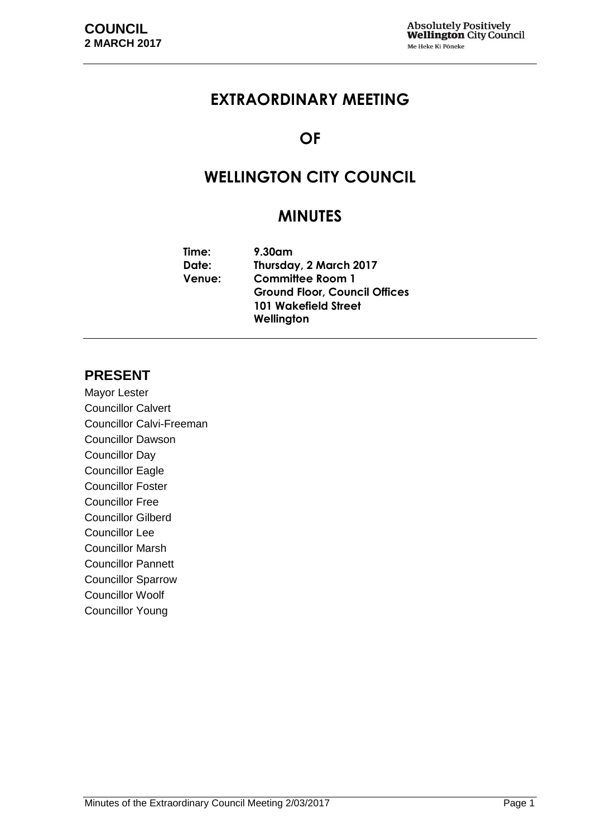# **EXTRAORDINARY MEETING**

# **OF**

# **WELLINGTON CITY COUNCIL**

# **MINUTES**

| $9.30$ am                            |  |  |
|--------------------------------------|--|--|
| Thursday, 2 March 2017               |  |  |
| <b>Committee Room 1</b>              |  |  |
| <b>Ground Floor, Council Offices</b> |  |  |
| <b>101 Wakefield Street</b>          |  |  |
| Wellington                           |  |  |
|                                      |  |  |

## **PRESENT**

Mayor Lester Councillor Calvert Councillor Calvi-Freeman Councillor Dawson Councillor Day Councillor Eagle Councillor Foster Councillor Free Councillor Gilberd Councillor Lee Councillor Marsh Councillor Pannett Councillor Sparrow Councillor Woolf Councillor Young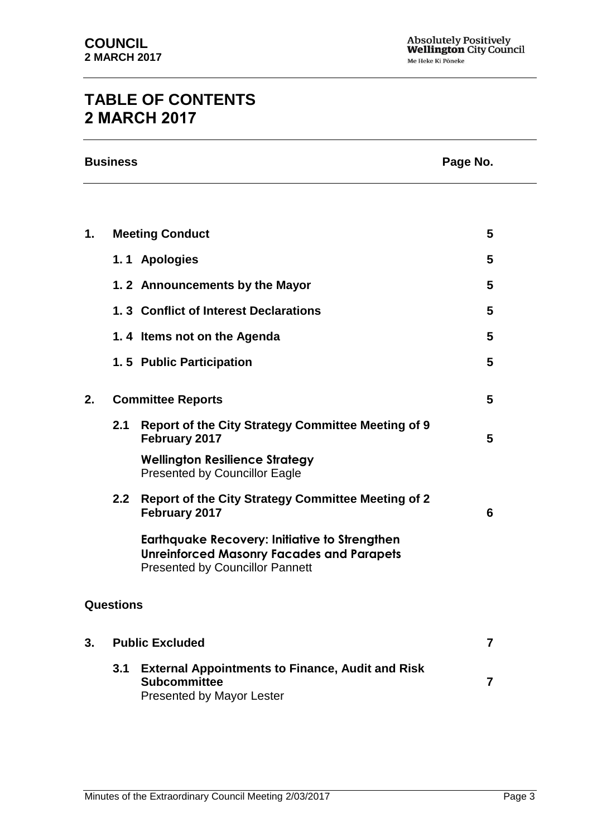# **TABLE OF CONTENTS 2 MARCH 2017**

|    | <b>Business</b>          | Page No.                                                                                                                                           |                |
|----|--------------------------|----------------------------------------------------------------------------------------------------------------------------------------------------|----------------|
|    |                          |                                                                                                                                                    |                |
| 1. |                          | <b>Meeting Conduct</b>                                                                                                                             | 5              |
|    |                          | 1.1 Apologies                                                                                                                                      | 5              |
|    |                          | 1.2 Announcements by the Mayor                                                                                                                     | 5              |
|    |                          | 1.3 Conflict of Interest Declarations                                                                                                              | 5              |
|    |                          | 1.4 Items not on the Agenda                                                                                                                        | 5              |
|    |                          | 1.5 Public Participation                                                                                                                           | 5              |
| 2. | <b>Committee Reports</b> |                                                                                                                                                    | 5              |
|    | 2.1                      | <b>Report of the City Strategy Committee Meeting of 9</b><br>February 2017                                                                         | 5              |
|    |                          | <b>Wellington Resilience Strategy</b><br><b>Presented by Councillor Eagle</b>                                                                      |                |
|    | 2.2                      | <b>Report of the City Strategy Committee Meeting of 2</b><br>February 2017                                                                         | 6              |
|    |                          | <b>Earthquake Recovery: Initiative to Strengthen</b><br><b>Unreinforced Masonry Facades and Parapets</b><br><b>Presented by Councillor Pannett</b> |                |
|    | <b>Questions</b>         |                                                                                                                                                    |                |
| 3. |                          | <b>Public Excluded</b>                                                                                                                             | $\overline{7}$ |
|    | 3.1                      | <b>External Appointments to Finance, Audit and Risk</b>                                                                                            |                |

**Subcommittee [7](#page-6-1)**

Presented by Mayor Lester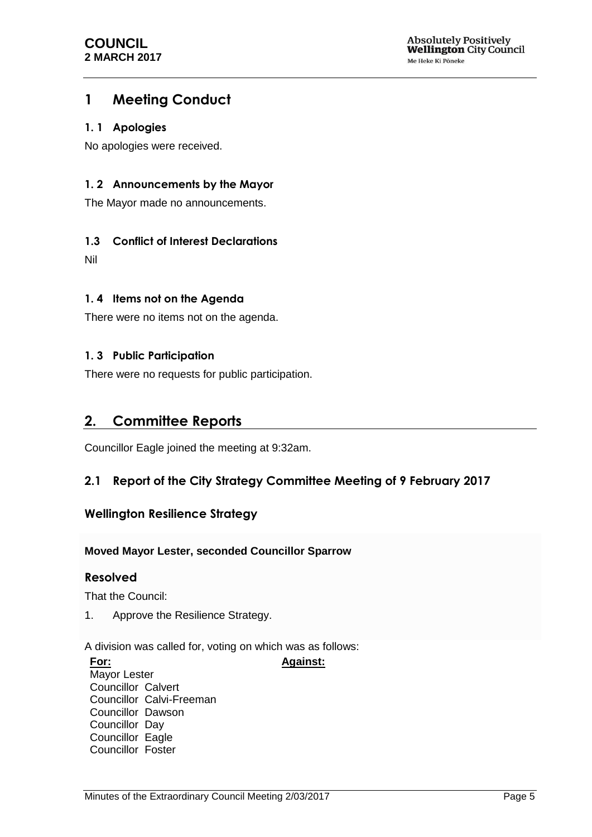# <span id="page-4-0"></span>**1 Meeting Conduct**

#### <span id="page-4-1"></span>**1. 1 Apologies**

No apologies were received.

### <span id="page-4-2"></span>**1. 2 Announcements by the Mayor**

The Mayor made no announcements.

### <span id="page-4-3"></span>**1.3 Conflict of Interest Declarations**

Nil

### <span id="page-4-4"></span>**1. 4 Items not on the Agenda**

There were no items not on the agenda.

### <span id="page-4-5"></span>**1. 3 Public Participation**

There were no requests for public participation.

## <span id="page-4-6"></span>**2. Committee Reports**

Councillor Eagle joined the meeting at 9:32am.

### <span id="page-4-7"></span>**2.1 Report of the City Strategy Committee Meeting of 9 February 2017**

### **Wellington Resilience Strategy**

#### **Moved Mayor Lester, seconded Councillor Sparrow**

### **Resolved**

That the Council:

1. Approve the Resilience Strategy.

A division was called for, voting on which was as follows:

#### **For:**

**Against:**

Mayor Lester Councillor Calvert Councillor Calvi-Freeman Councillor Dawson Councillor Day Councillor Eagle Councillor Foster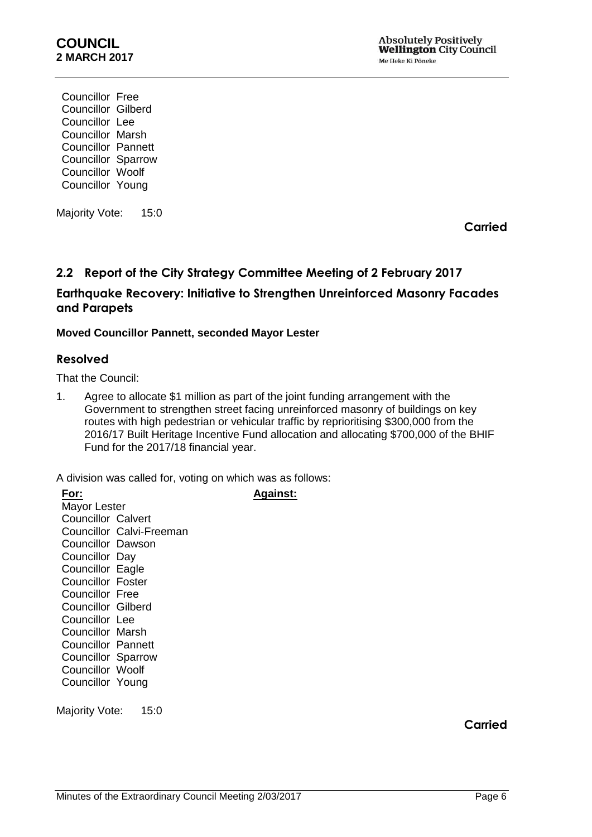Councillor Free Councillor Gilberd Councillor Lee Councillor Marsh Councillor Pannett Councillor Sparrow Councillor Woolf Councillor Young

Majority Vote: 15:0

**Carried**

## <span id="page-5-0"></span>**2.2 Report of the City Strategy Committee Meeting of 2 February 2017**

### **Earthquake Recovery: Initiative to Strengthen Unreinforced Masonry Facades and Parapets**

#### **Moved Councillor Pannett, seconded Mayor Lester**

#### **Resolved**

That the Council:

1. Agree to allocate \$1 million as part of the joint funding arrangement with the Government to strengthen street facing unreinforced masonry of buildings on key routes with high pedestrian or vehicular traffic by reprioritising \$300,000 from the 2016/17 Built Heritage Incentive Fund allocation and allocating \$700,000 of the BHIF Fund for the 2017/18 financial year.

A division was called for, voting on which was as follows:

| For:                      |                          | Against: |
|---------------------------|--------------------------|----------|
| Mayor Lester              |                          |          |
| Councillor Calvert        |                          |          |
|                           | Councillor Calvi-Freeman |          |
| Councillor Dawson         |                          |          |
| Councillor Day            |                          |          |
| <b>Councillor Eagle</b>   |                          |          |
| <b>Councillor Foster</b>  |                          |          |
| Councillor Free           |                          |          |
| <b>Councillor Gilberd</b> |                          |          |
| Councillor Lee            |                          |          |
| Councillor Marsh          |                          |          |
| Councillor Pannett        |                          |          |
| <b>Councillor Sparrow</b> |                          |          |
| <b>Councillor Woolf</b>   |                          |          |
| Councillor Young          |                          |          |
|                           |                          |          |

Majority Vote: 15:0

**Carried**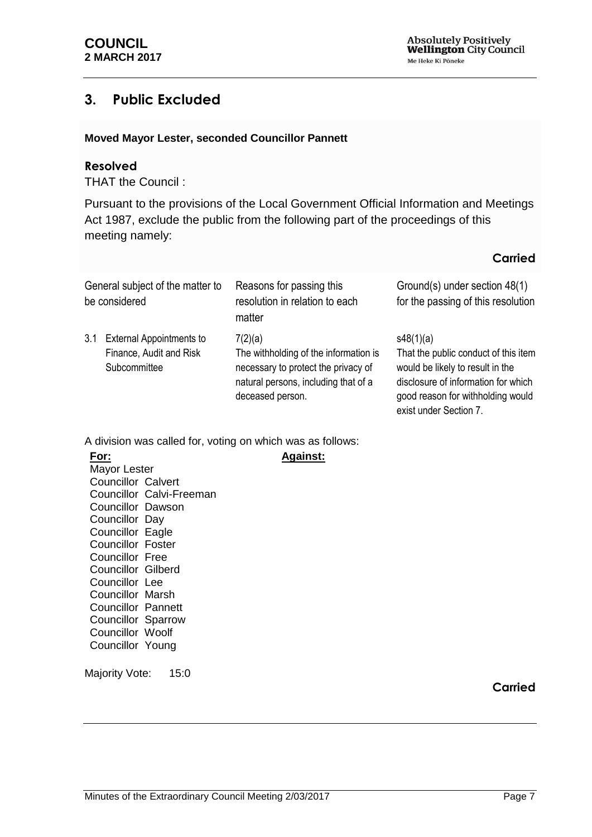## <span id="page-6-0"></span>**3. Public Excluded**

#### **Moved Mayor Lester, seconded Councillor Pannett**

#### **Resolved**

THAT the Council :

Pursuant to the provisions of the Local Government Official Information and Meetings Act 1987, exclude the public from the following part of the proceedings of this meeting namely:

### **Carried**

<span id="page-6-1"></span>

| General subject of the matter to<br>be considered |                                                                            | Reasons for passing this<br>resolution in relation to each<br>matter                                                                                | Ground(s) under section 48(1)<br>for the passing of this resolution                                                                                                                         |
|---------------------------------------------------|----------------------------------------------------------------------------|-----------------------------------------------------------------------------------------------------------------------------------------------------|---------------------------------------------------------------------------------------------------------------------------------------------------------------------------------------------|
| 3.1                                               | <b>External Appointments to</b><br>Finance, Audit and Risk<br>Subcommittee | 7(2)(a)<br>The withholding of the information is<br>necessary to protect the privacy of<br>natural persons, including that of a<br>deceased person. | s48(1)(a)<br>That the public conduct of this item<br>would be likely to result in the<br>disclosure of information for which<br>good reason for withholding would<br>exist under Section 7. |

**Against:**

A division was called for, voting on which was as follows:

**For:** Mayor Lester Councillor Calvert Councillor Calvi-Freeman Councillor Dawson Councillor Day Councillor Eagle Councillor Foster Councillor Free Councillor Gilberd Councillor Lee Councillor Marsh Councillor Pannett Councillor Sparrow Councillor Woolf Councillor Young

Majority Vote: 15:0

**Carried**